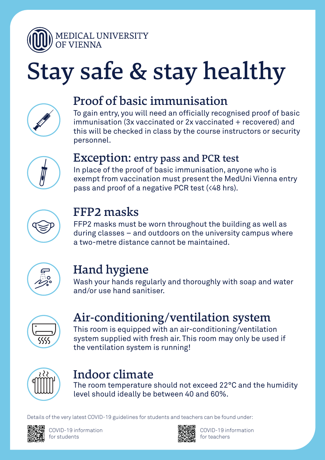

# Stay safe & stay healthy



### Proof of basic immunisation

To gain entry, you will need an officially recognised proof of basic immunisation (3x vaccinated or 2x vaccinated + recovered) and this will be checked in class by the course instructors or security personnel.



#### Exception: entry pass and PCR test

In place of the proof of basic immunisation, anyone who is exempt from vaccination must present the MedUni Vienna entry pass and proof of a negative PCR test (<48 hrs).



### FFP2 masks

FFP2 masks must be worn throughout the building as well as during classes – and outdoors on the university campus where a two-metre distance cannot be maintained.



## Hand hygiene

Wash your hands regularly and thoroughly with soap and water and/or use hand sanitiser.



## Air-conditioning/ventilation system

This room is equipped with an air-conditioning/ventilation system supplied with fresh air. This room may only be used if the ventilation system is running!



## Indoor climate

The room temperature should not exceed 22°C and the humidity level should ideally be between 40 and 60%.

COVID-19 information for students



COVID-19 information for teachers

Details of the very latest COVID-19 guidelines for students and teachers can be found under: